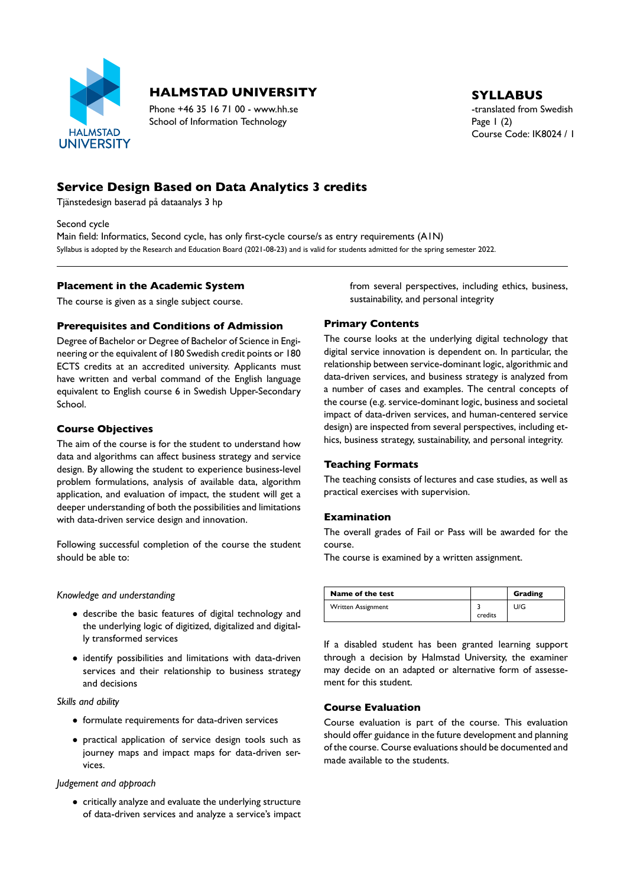

# **HALMSTAD UNIVERSITY** SYLLABUS

Phone +46 35 16 71 00 - www.hh.se the translated from Swedish School of Information Technology Page 1 (2)

Course Code: IK8024 / 1

# **Service Design Based on Data Analytics 3 credits**

Tjänstedesign baserad på dataanalys 3 hp

Second cycle

Main field: Informatics, Second cycle, has only first-cycle course/s as entry requirements (A1N) Syllabus is adopted by the Research and Education Board (2021-08-23) and is valid for students admitted for the spring semester 2022.

#### **Placement in the Academic System**

The course is given as a single subject course.

### **Prerequisites and Conditions of Admission**

Degree of Bachelor or Degree of Bachelor of Science in Engi neering or the equivalent of 180 Swedish credit points or 180 ECTS credits at an accredited university. Applicants must have written and verbal command of the English language equivalent to English course 6 in Swedish Upper-Secondary School.

#### **Course Objectives**

The aim of the course is for the student to understand how data and algorithms can affect business strategy and service design. By allowing the student to experience business-level problem formulations, analysis of available data, algorithm application, and evaluation of impact, the student will get a deeper understanding of both the possibilities and limitations with data-driven service design and innovation.

Following successful completion of the course the student should be able to:

*Knowledge and understanding*

- describe the basic features of digital technology and the underlying logic of digitized, digitalized and digital ly transformed services
- identify possibilities and limitations with data-driven services and their relationship to business strategy and decisions

*Skills and ability*

- $\bullet$  formulate requirements for data-driven services
- practical application of service design tools such as journey maps and impact maps for data-driven services.

#### *Judgement and approach*

• critically analyze and evaluate the underlying structure of data-driven services and analyze a service's impact from several perspectives, including ethics, business, sustainability, and personal integrity

### **Primary Contents**

The course looks at the underlying digital technology that digital service innovation is dependent on. In particular, the relationship between service-dominant logic, algorithmic and data-driven services, and business strategy is analyzed from a number of cases and examples. The central concepts of the course (e.g. service-dominant logic, business and societal impact of data-driven services, and human-centered service design) are inspected from several perspectives, including et hics, business strategy, sustainability, and personal integrity.

### **Teaching Formats**

The teaching consists of lectures and case studies, as well as practical exercises with supervision.

### **Examination**

The overall grades of Fail or Pass will be awarded for the course.

The course is examined by a written assignment.

| Name of the test   |         | Grading |
|--------------------|---------|---------|
| Written Assignment | credits | U/G     |
|                    |         |         |

If a disabled student has been granted learning support through a decision by Halmstad University, the examiner may decide on an adapted or alternative form of assesse ment for this student.

### **Course Evaluation**

Course evaluation is part of the course. This evaluation should offer guidance in the future development and planning of the course. Course evaluations should be documented and made available to the students.